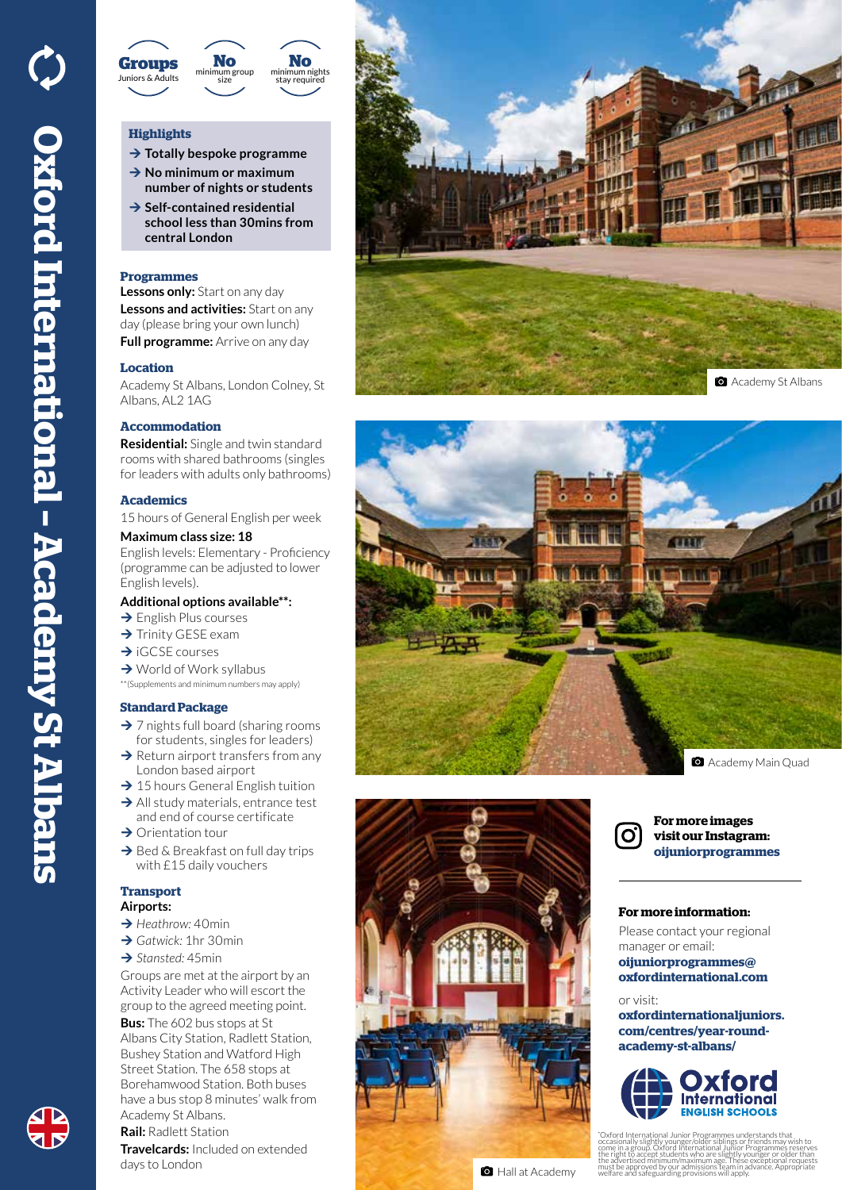

# **Highlights**

- **→ Totally bespoke programme → No minimum or maximum**
- **number of nights or students**
- **→ Self-contained residential school less than 30mins from central London**

#### **Programmes**

**Lessons only:** Start on any day **Lessons and activities:** Start on any day (please bring your own lunch) **Full programme:** Arrive on any day

## **Location**

Academy St Albans, London Colney, St Albans, AL2 1AG

## **Accommodation**

**Residential:** Single and twin standard rooms with shared bathrooms (singles for leaders with adults only bathrooms)

#### **Academics**

15 hours of General English per week

### **Maximum class size: 18**

English levels: Elementary - Proficiency (programme can be adjusted to lower English levels).

#### **Additional options available\*\*:**

- $\rightarrow$  English Plus courses
- $\rightarrow$  Trinity GESE exam
- $\rightarrow$  iGCSE courses
- $\rightarrow$  World of Work syllabus
- \*\*(Supplements and minimum numbers may apply)

## **Standard Package**

- $\rightarrow$  7 nights full board (sharing rooms for students, singles for leaders)
- $\rightarrow$  Return airport transfers from any London based airport
- $\rightarrow$  15 hours General English tuition
- $\rightarrow$  All study materials, entrance test and end of course certificate
- $\rightarrow$  Orientation tour
- $\rightarrow$  Bed & Breakfast on full day trips with £15 daily vouchers

#### **Transport Airports:**

- **→** *Heathrow:* 40min
- **→ Gatwick: 1hr 30min**
- **→ Stansted: 45min**

Groups are met at the airport by an Activity Leader who will escort the group to the agreed meeting point. **Bus:** The 602 bus stops at St Albans City Station, Radlett Station,

Bushey Station and Watford High Street Station. The 658 stops at Borehamwood Station. Both buses have a bus stop 8 minutes' walk from Academy St Albans.

**Rail:** Radlett Station

**Travelcards:** Included on extended days to London









**For more images visit our Instagram: oijuniorprogrammes**

## **For more information:**

Please contact your regional manager or email: **oijuniorprogrammes@ oxfordinternational.com**

#### or visit:

**oxfordinternationaljuniors. com/centres/year-roundacademy-st-albans/**



\* "Oxford International Junior Programmes understands that<br>occasionally slightly younger/older siblings or friends may wish to<br>come in a group. Oxford International Junior Programmes reserves<br>the right to accept students who must be approved by our admissions team in advance. Appropriate welfare and safeguarding provisions will apply.